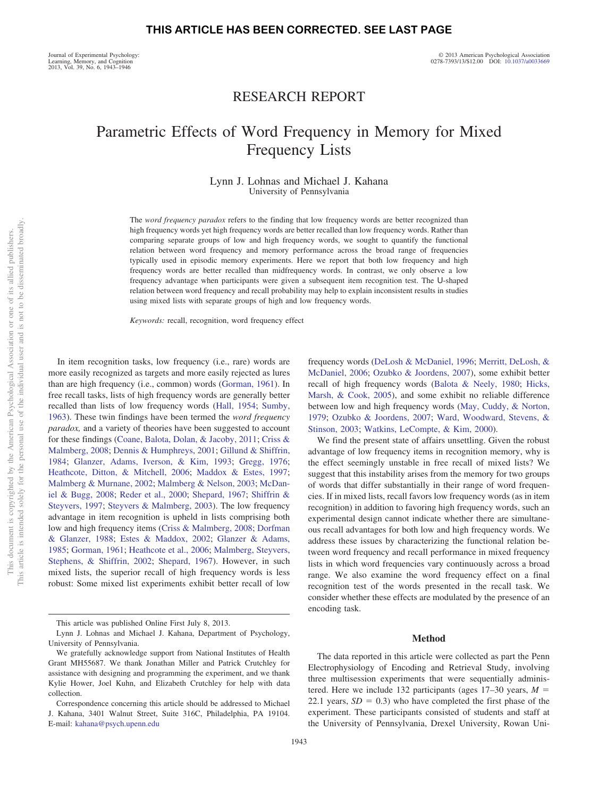Journal of Experimental Psychology: Learning, Memory, and Cognition 2013, Vol. 39, No. 6, 1943–1946

# RESEARCH REPORT

# Parametric Effects of Word Frequency in Memory for Mixed Frequency Lists

### Lynn J. Lohnas and Michael J. Kahana University of Pennsylvania

The *word frequency paradox* refers to the finding that low frequency words are better recognized than high frequency words yet high frequency words are better recalled than low frequency words. Rather than comparing separate groups of low and high frequency words, we sought to quantify the functional relation between word frequency and memory performance across the broad range of frequencies typically used in episodic memory experiments. Here we report that both low frequency and high frequency words are better recalled than midfrequency words. In contrast, we only observe a low frequency advantage when participants were given a subsequent item recognition test. The U-shaped relation between word frequency and recall probability may help to explain inconsistent results in studies using mixed lists with separate groups of high and low frequency words.

*Keywords:* recall, recognition, word frequency effect

In item recognition tasks, low frequency (i.e., rare) words are more easily recognized as targets and more easily rejected as lures than are high frequency (i.e., common) words [\(Gorman, 1961\)](#page-3-0). In free recall tasks, lists of high frequency words are generally better recalled than lists of low frequency words [\(Hall, 1954;](#page-3-1) [Sumby,](#page-3-2) [1963\)](#page-3-2). These twin findings have been termed the *word frequency paradox,* and a variety of theories have been suggested to account for these findings [\(Coane, Balota, Dolan, & Jacoby, 2011;](#page-3-3) [Criss &](#page-3-4) [Malmberg, 2008;](#page-3-4) [Dennis & Humphreys, 2001;](#page-3-5) [Gillund & Shiffrin,](#page-3-6) [1984;](#page-3-6) [Glanzer, Adams, Iverson, & Kim, 1993;](#page-3-7) [Gregg, 1976;](#page-3-8) [Heathcote, Ditton, & Mitchell, 2006;](#page-3-9) [Maddox & Estes, 1997;](#page-3-10) [Malmberg & Murnane, 2002;](#page-3-11) [Malmberg & Nelson, 2003;](#page-3-12) [McDan](#page-3-13)[iel & Bugg, 2008;](#page-3-13) [Reder et al., 2000;](#page-3-14) [Shepard, 1967;](#page-3-15) [Shiffrin &](#page-3-16) [Steyvers, 1997;](#page-3-16) [Steyvers & Malmberg, 2003\)](#page-3-17). The low frequency advantage in item recognition is upheld in lists comprising both low and high frequency items [\(Criss & Malmberg, 2008;](#page-3-4) [Dorfman](#page-3-18) [& Glanzer, 1988;](#page-3-18) [Estes & Maddox, 2002;](#page-3-19) [Glanzer & Adams,](#page-3-20) [1985;](#page-3-20) [Gorman, 1961;](#page-3-0) [Heathcote et al., 2006;](#page-3-9) [Malmberg, Steyvers,](#page-3-21) [Stephens, & Shiffrin, 2002;](#page-3-21) [Shepard, 1967\)](#page-3-15). However, in such mixed lists, the superior recall of high frequency words is less robust: Some mixed list experiments exhibit better recall of low frequency words [\(DeLosh & McDaniel, 1996;](#page-3-22) [Merritt, DeLosh, &](#page-3-23) [McDaniel, 2006;](#page-3-23) [Ozubko & Joordens, 2007\)](#page-3-24), some exhibit better recall of high frequency words [\(Balota & Neely, 1980;](#page-3-25) [Hicks,](#page-3-26) [Marsh, & Cook, 2005\)](#page-3-26), and some exhibit no reliable difference between low and high frequency words [\(May, Cuddy, & Norton,](#page-3-27) [1979;](#page-3-27) [Ozubko & Joordens, 2007;](#page-3-24) [Ward, Woodward, Stevens, &](#page-3-28) [Stinson, 2003;](#page-3-28) [Watkins, LeCompte, & Kim, 2000\)](#page-3-29).

We find the present state of affairs unsettling. Given the robust advantage of low frequency items in recognition memory, why is the effect seemingly unstable in free recall of mixed lists? We suggest that this instability arises from the memory for two groups of words that differ substantially in their range of word frequencies. If in mixed lists, recall favors low frequency words (as in item recognition) in addition to favoring high frequency words, such an experimental design cannot indicate whether there are simultaneous recall advantages for both low and high frequency words. We address these issues by characterizing the functional relation between word frequency and recall performance in mixed frequency lists in which word frequencies vary continuously across a broad range. We also examine the word frequency effect on a final recognition test of the words presented in the recall task. We consider whether these effects are modulated by the presence of an encoding task.

### **Method**

The data reported in this article were collected as part the Penn Electrophysiology of Encoding and Retrieval Study, involving three multisession experiments that were sequentially administered. Here we include 132 participants (ages 17–30 years, *M* 22.1 years,  $SD = 0.3$ ) who have completed the first phase of the experiment. These participants consisted of students and staff at the University of Pennsylvania, Drexel University, Rowan Uni-

This article was published Online First July 8, 2013.

Lynn J. Lohnas and Michael J. Kahana, Department of Psychology, University of Pennsylvania.

We gratefully acknowledge support from National Institutes of Health Grant MH55687. We thank Jonathan Miller and Patrick Crutchley for assistance with designing and programming the experiment, and we thank Kylie Hower, Joel Kuhn, and Elizabeth Crutchley for help with data collection.

Correspondence concerning this article should be addressed to Michael J. Kahana, 3401 Walnut Street, Suite 316C, Philadelphia, PA 19104. E-mail: [kahana@psych.upenn.edu](mailto:kahana@psych.upenn.edu)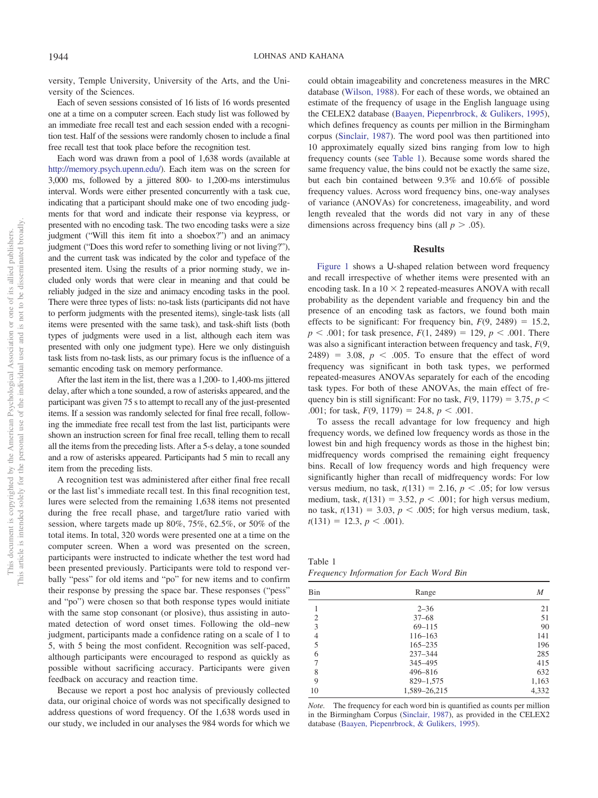versity, Temple University, University of the Arts, and the University of the Sciences.

Each of seven sessions consisted of 16 lists of 16 words presented one at a time on a computer screen. Each study list was followed by an immediate free recall test and each session ended with a recognition test. Half of the sessions were randomly chosen to include a final free recall test that took place before the recognition test.

Each word was drawn from a pool of 1,638 words (available at [http://memory.psych.upenn.edu/\)](http://memory.psych.upenn.edu/). Each item was on the screen for 3,000 ms, followed by a jittered 800- to 1,200-ms interstimulus interval. Words were either presented concurrently with a task cue, indicating that a participant should make one of two encoding judgments for that word and indicate their response via keypress, or presented with no encoding task. The two encoding tasks were a size judgment ("Will this item fit into a shoebox?") and an animacy judgment ("Does this word refer to something living or not living?"), and the current task was indicated by the color and typeface of the presented item. Using the results of a prior norming study, we included only words that were clear in meaning and that could be reliably judged in the size and animacy encoding tasks in the pool. There were three types of lists: no-task lists (participants did not have to perform judgments with the presented items), single-task lists (all items were presented with the same task), and task-shift lists (both types of judgments were used in a list, although each item was presented with only one judgment type). Here we only distinguish task lists from no-task lists, as our primary focus is the influence of a semantic encoding task on memory performance.

After the last item in the list, there was a 1,200- to 1,400-ms jittered delay, after which a tone sounded, a row of asterisks appeared, and the participant was given 75 s to attempt to recall any of the just-presented items. If a session was randomly selected for final free recall, following the immediate free recall test from the last list, participants were shown an instruction screen for final free recall, telling them to recall all the items from the preceding lists. After a 5-s delay, a tone sounded and a row of asterisks appeared. Participants had 5 min to recall any item from the preceding lists.

A recognition test was administered after either final free recall or the last list's immediate recall test. In this final recognition test, lures were selected from the remaining 1,638 items not presented during the free recall phase, and target/lure ratio varied with session, where targets made up 80%, 75%, 62.5%, or 50% of the total items. In total, 320 words were presented one at a time on the computer screen. When a word was presented on the screen, participants were instructed to indicate whether the test word had been presented previously. Participants were told to respond verbally "pess" for old items and "po" for new items and to confirm their response by pressing the space bar. These responses ("pess" and "po") were chosen so that both response types would initiate with the same stop consonant (or plosive), thus assisting in automated detection of word onset times. Following the old–new judgment, participants made a confidence rating on a scale of 1 to 5, with 5 being the most confident. Recognition was self-paced, although participants were encouraged to respond as quickly as possible without sacrificing accuracy. Participants were given feedback on accuracy and reaction time.

Because we report a post hoc analysis of previously collected data, our original choice of words was not specifically designed to address questions of word frequency. Of the 1,638 words used in our study, we included in our analyses the 984 words for which we

could obtain imageability and concreteness measures in the MRC database [\(Wilson, 1988\)](#page-3-30). For each of these words, we obtained an estimate of the frequency of usage in the English language using the CELEX2 database [\(Baayen, Piepenrbrock, & Gulikers, 1995\)](#page-3-31), which defines frequency as counts per million in the Birmingham corpus [\(Sinclair, 1987\)](#page-3-32). The word pool was then partitioned into 10 approximately equally sized bins ranging from low to high frequency counts (see [Table 1\)](#page-1-0). Because some words shared the same frequency value, the bins could not be exactly the same size, but each bin contained between 9.3% and 10.6% of possible frequency values. Across word frequency bins, one-way analyses of variance (ANOVAs) for concreteness, imageability, and word length revealed that the words did not vary in any of these dimensions across frequency bins (all  $p > .05$ ).

### **Results**

[Figure 1](#page-2-0) shows a U-shaped relation between word frequency and recall irrespective of whether items were presented with an encoding task. In a  $10 \times 2$  repeated-measures ANOVA with recall probability as the dependent variable and frequency bin and the presence of an encoding task as factors, we found both main effects to be significant: For frequency bin,  $F(9, 2489) = 15.2$ ,  $p$  < .001; for task presence,  $F(1, 2489) = 129$ ,  $p$  < .001. There was also a significant interaction between frequency and task, *F*(9,  $2489$  = 3.08,  $p < .005$ . To ensure that the effect of word frequency was significant in both task types, we performed repeated-measures ANOVAs separately for each of the encoding task types. For both of these ANOVAs, the main effect of frequency bin is still significant: For no task,  $F(9, 1179) = 3.75$ ,  $p <$ .001; for task,  $F(9, 1179) = 24.8$ ,  $p < .001$ .

To assess the recall advantage for low frequency and high frequency words, we defined low frequency words as those in the lowest bin and high frequency words as those in the highest bin; midfrequency words comprised the remaining eight frequency bins. Recall of low frequency words and high frequency were significantly higher than recall of midfrequency words: For low versus medium, no task,  $t(131) = 2.16$ ,  $p < .05$ ; for low versus medium, task,  $t(131) = 3.52$ ,  $p < .001$ ; for high versus medium, no task,  $t(131) = 3.03$ ,  $p < .005$ ; for high versus medium, task,  $t(131) = 12.3, p < .001$ .

<span id="page-1-0"></span>Table 1 *Frequency Information for Each Word Bin*

| Bin | Range        | M     |
|-----|--------------|-------|
|     | $2 - 36$     | 21    |
| 2   | $37 - 68$    | 51    |
| 3   | $69 - 115$   | 90    |
| 4   | $116 - 163$  | 141   |
| 5   | $165 - 235$  | 196   |
| 6   | $237 - 344$  | 285   |
| 7   | 345-495      | 415   |
| 8   | 496-816      | 632   |
| 9   | 829-1,575    | 1,163 |
| 10  | 1,589-26,215 | 4,332 |

*Note.* The frequency for each word bin is quantified as counts per million in the Birmingham Corpus [\(Sinclair, 1987\)](#page-3-32), as provided in the CELEX2 database [\(Baayen, Piepenrbrock, & Gulikers, 1995\)](#page-3-31).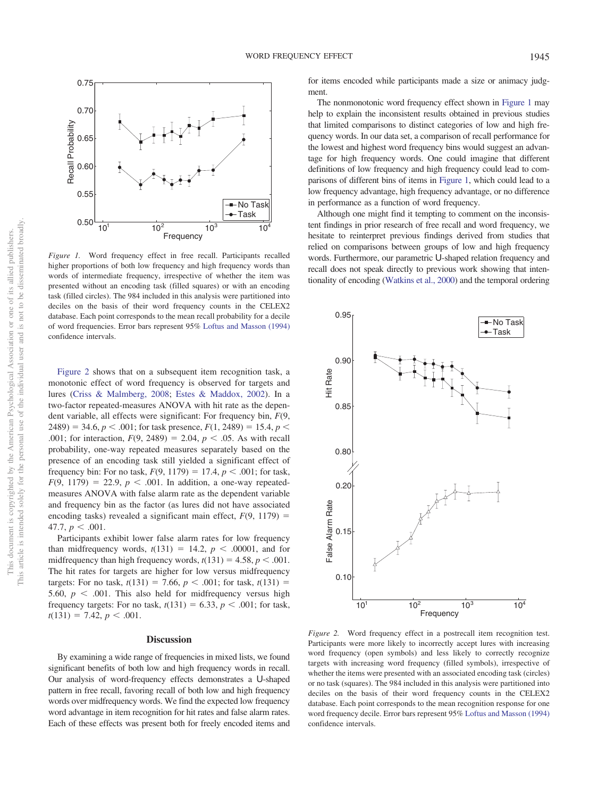

<span id="page-2-0"></span>*Figure 1.* Word frequency effect in free recall. Participants recalled higher proportions of both low frequency and high frequency words than words of intermediate frequency, irrespective of whether the item was presented without an encoding task (filled squares) or with an encoding task (filled circles). The 984 included in this analysis were partitioned into deciles on the basis of their word frequency counts in the CELEX2 database. Each point corresponds to the mean recall probability for a decile of word frequencies. Error bars represent 95% [Loftus and Masson \(1994\)](#page-3-33) confidence intervals.

[Figure 2](#page-2-1) shows that on a subsequent item recognition task, a monotonic effect of word frequency is observed for targets and lures [\(Criss & Malmberg, 2008;](#page-3-4) [Estes & Maddox, 2002\)](#page-3-19). In a two-factor repeated-measures ANOVA with hit rate as the dependent variable, all effects were significant: For frequency bin, *F*(9, 2489) = 34.6,  $p < .001$ ; for task presence,  $F(1, 2489) = 15.4$ ,  $p <$ .001; for interaction,  $F(9, 2489) = 2.04$ ,  $p < .05$ . As with recall probability, one-way repeated measures separately based on the presence of an encoding task still yielded a significant effect of frequency bin: For no task,  $F(9, 1179) = 17.4$ ,  $p < .001$ ; for task,  $F(9, 1179) = 22.9, p < .001$ . In addition, a one-way repeatedmeasures ANOVA with false alarm rate as the dependent variable and frequency bin as the factor (as lures did not have associated encoding tasks) revealed a significant main effect,  $F(9, 1179) =$ 47.7,  $p < .001$ .

Participants exhibit lower false alarm rates for low frequency than midfrequency words,  $t(131) = 14.2$ ,  $p < .00001$ , and for midfrequency than high frequency words,  $t(131) = 4.58$ ,  $p < .001$ . The hit rates for targets are higher for low versus midfrequency targets: For no task,  $t(131) = 7.66$ ,  $p < .001$ ; for task,  $t(131) =$ 5.60,  $p < .001$ . This also held for midfrequency versus high frequency targets: For no task,  $t(131) = 6.33$ ,  $p < .001$ ; for task,  $t(131) = 7.42, p < .001.$ 

### **Discussion**

By examining a wide range of frequencies in mixed lists, we found significant benefits of both low and high frequency words in recall. Our analysis of word-frequency effects demonstrates a U-shaped pattern in free recall, favoring recall of both low and high frequency words over midfrequency words. We find the expected low frequency word advantage in item recognition for hit rates and false alarm rates. Each of these effects was present both for freely encoded items and for items encoded while participants made a size or animacy judgment.

The nonmonotonic word frequency effect shown in [Figure 1](#page-2-0) may help to explain the inconsistent results obtained in previous studies that limited comparisons to distinct categories of low and high frequency words. In our data set, a comparison of recall performance for the lowest and highest word frequency bins would suggest an advantage for high frequency words. One could imagine that different definitions of low frequency and high frequency could lead to comparisons of different bins of items in [Figure 1,](#page-2-0) which could lead to a low frequency advantage, high frequency advantage, or no difference in performance as a function of word frequency.

Although one might find it tempting to comment on the inconsistent findings in prior research of free recall and word frequency, we hesitate to reinterpret previous findings derived from studies that relied on comparisons between groups of low and high frequency words. Furthermore, our parametric U-shaped relation frequency and recall does not speak directly to previous work showing that intentionality of encoding [\(Watkins et al., 2000\)](#page-3-29) and the temporal ordering



<span id="page-2-1"></span>*Figure 2.* Word frequency effect in a postrecall item recognition test. Participants were more likely to incorrectly accept lures with increasing word frequency (open symbols) and less likely to correctly recognize targets with increasing word frequency (filled symbols), irrespective of whether the items were presented with an associated encoding task (circles) or no task (squares). The 984 included in this analysis were partitioned into deciles on the basis of their word frequency counts in the CELEX2 database. Each point corresponds to the mean recognition response for one word frequency decile. Error bars represent 95% [Loftus and Masson \(1994\)](#page-3-33) confidence intervals.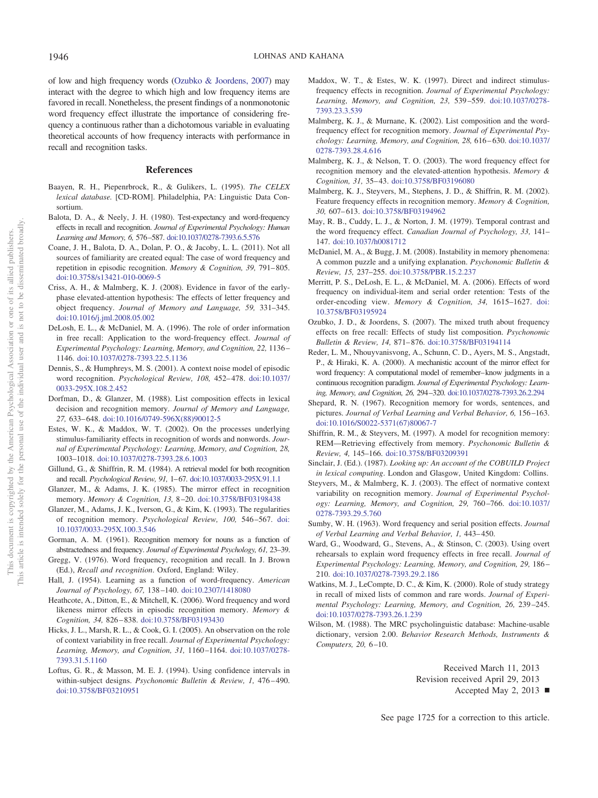of low and high frequency words [\(Ozubko & Joordens, 2007\)](#page-3-24) may interact with the degree to which high and low frequency items are favored in recall. Nonetheless, the present findings of a nonmonotonic word frequency effect illustrate the importance of considering frequency a continuous rather than a dichotomous variable in evaluating theoretical accounts of how frequency interacts with performance in recall and recognition tasks.

### **References**

- <span id="page-3-31"></span>Baayen, R. H., Piepenrbrock, R., & Gulikers, L. (1995). *The CELEX lexical database.* [CD-ROM]. Philadelphia, PA: Linguistic Data Consortium.
- <span id="page-3-25"></span>Balota, D. A., & Neely, J. H. (1980). Test-expectancy and word-frequency effects in recall and recognition. *Journal of Experimental Psychology: Human Learning and Memory, 6,* 576–587. [doi:10.1037/0278-7393.6.5.576](http://dx.doi.org/10.1037/0278-7393.6.5.576)
- <span id="page-3-3"></span>Coane, J. H., Balota, D. A., Dolan, P. O., & Jacoby, L. L. (2011). Not all sources of familiarity are created equal: The case of word frequency and repetition in episodic recognition. *Memory & Cognition, 39,* 791– 805. [doi:10.3758/s13421-010-0069-5](http://dx.doi.org/10.3758/s13421-010-0069-5)
- <span id="page-3-4"></span>Criss, A. H., & Malmberg, K. J. (2008). Evidence in favor of the earlyphase elevated-attention hypothesis: The effects of letter frequency and object frequency. *Journal of Memory and Language, 59,* 331–345. [doi:10.1016/j.jml.2008.05.002](http://dx.doi.org/10.1016/j.jml.2008.05.002)
- <span id="page-3-22"></span>DeLosh, E. L., & McDaniel, M. A. (1996). The role of order information in free recall: Application to the word-frequency effect. *Journal of Experimental Psychology: Learning, Memory, and Cognition, 22,* 1136 – 1146. [doi:10.1037/0278-7393.22.5.1136](http://dx.doi.org/10.1037/0278-7393.22.5.1136)
- <span id="page-3-5"></span>Dennis, S., & Humphreys, M. S. (2001). A context noise model of episodic word recognition. *Psychological Review, 108, 452-478.* [doi:10.1037/](http://dx.doi.org/10.1037/0033-295X.108.2.452) [0033-295X.108.2.452](http://dx.doi.org/10.1037/0033-295X.108.2.452)
- <span id="page-3-18"></span>Dorfman, D., & Glanzer, M. (1988). List composition effects in lexical decision and recognition memory. *Journal of Memory and Language, 27,* 633– 648. [doi:10.1016/0749-596X\(88\)90012-5](http://dx.doi.org/10.1016/0749-596X%2888%2990012-5)
- <span id="page-3-19"></span>Estes, W. K., & Maddox, W. T. (2002). On the processes underlying stimulus-familiarity effects in recognition of words and nonwords. *Journal of Experimental Psychology: Learning, Memory, and Cognition, 28,* 1003–1018. [doi:10.1037/0278-7393.28.6.1003](http://dx.doi.org/10.1037/0278-7393.28.6.1003)
- <span id="page-3-6"></span>Gillund, G., & Shiffrin, R. M. (1984). A retrieval model for both recognition and recall. *Psychological Review, 91,* 1–67. [doi:10.1037/0033-295X.91.1.1](http://dx.doi.org/10.1037/0033-295X.91.1.1)
- <span id="page-3-20"></span>Glanzer, M., & Adams, J. K. (1985). The mirror effect in recognition memory. *Memory & Cognition, 13,* 8 –20. [doi:10.3758/BF03198438](http://dx.doi.org/10.3758/BF03198438)
- <span id="page-3-7"></span>Glanzer, M., Adams, J. K., Iverson, G., & Kim, K. (1993). The regularities of recognition memory. *Psychological Review, 100,* 546 –567. [doi:](http://dx.doi.org/10.1037/0033-295X.100.3.546) [10.1037/0033-295X.100.3.546](http://dx.doi.org/10.1037/0033-295X.100.3.546)
- <span id="page-3-0"></span>Gorman, A. M. (1961). Recognition memory for nouns as a function of abstractedness and frequency. *Journal of Experimental Psychology, 61,* 23–39.
- <span id="page-3-8"></span>Gregg, V. (1976). Word frequency, recognition and recall. In J. Brown (Ed.), *Recall and recognition*. Oxford, England: Wiley.
- <span id="page-3-1"></span>Hall, J. (1954). Learning as a function of word-frequency. *American Journal of Psychology, 67,* 138 –140. [doi:10.2307/1418080](http://dx.doi.org/10.2307/1418080)
- <span id="page-3-9"></span>Heathcote, A., Ditton, E., & Mitchell, K. (2006). Word frequency and word likeness mirror effects in episodic recognition memory. *Memory & Cognition, 34,* 826 – 838. [doi:10.3758/BF03193430](http://dx.doi.org/10.3758/BF03193430)
- <span id="page-3-26"></span>Hicks, J. L., Marsh, R. L., & Cook, G. I. (2005). An observation on the role of context variability in free recall. *Journal of Experimental Psychology: Learning, Memory, and Cognition, 31,* 1160 –1164. [doi:10.1037/0278-](http://dx.doi.org/10.1037/0278-7393.31.5.1160) [7393.31.5.1160](http://dx.doi.org/10.1037/0278-7393.31.5.1160)
- <span id="page-3-33"></span>Loftus, G. R., & Masson, M. E. J. (1994). Using confidence intervals in within-subject designs. *Psychonomic Bulletin & Review, 1,* 476 – 490. [doi:10.3758/BF03210951](http://dx.doi.org/10.3758/BF03210951)
- <span id="page-3-10"></span>Maddox, W. T., & Estes, W. K. (1997). Direct and indirect stimulusfrequency effects in recognition. *Journal of Experimental Psychology: Learning, Memory, and Cognition, 23,* 539 –559. [doi:10.1037/0278-](http://dx.doi.org/10.1037/0278-7393.23.3.539) [7393.23.3.539](http://dx.doi.org/10.1037/0278-7393.23.3.539)
- <span id="page-3-11"></span>Malmberg, K. J., & Murnane, K. (2002). List composition and the wordfrequency effect for recognition memory. *Journal of Experimental Psychology: Learning, Memory, and Cognition, 28,* 616 – 630. [doi:10.1037/](http://dx.doi.org/10.1037/0278-7393.28.4.616) [0278-7393.28.4.616](http://dx.doi.org/10.1037/0278-7393.28.4.616)
- <span id="page-3-12"></span>Malmberg, K. J., & Nelson, T. O. (2003). The word frequency effect for recognition memory and the elevated-attention hypothesis. *Memory & Cognition, 31,* 35– 43. [doi:10.3758/BF03196080](http://dx.doi.org/10.3758/BF03196080)
- <span id="page-3-21"></span>Malmberg, K. J., Steyvers, M., Stephens, J. D., & Shiffrin, R. M. (2002). Feature frequency effects in recognition memory. *Memory & Cognition, 30,* 607– 613. [doi:10.3758/BF03194962](http://dx.doi.org/10.3758/BF03194962)
- <span id="page-3-27"></span>May, R. B., Cuddy, L. J., & Norton, J. M. (1979). Temporal contrast and the word frequency effect. *Canadian Journal of Psychology, 33,* 141– 147. [doi:10.1037/h0081712](http://dx.doi.org/10.1037/h0081712)
- <span id="page-3-13"></span>McDaniel, M. A., & Bugg, J. M. (2008). Instability in memory phenomena: A common puzzle and a unifying explanation. *Psychonomic Bulletin & Review, 15,* 237–255. [doi:10.3758/PBR.15.2.237](http://dx.doi.org/10.3758/PBR.15.2.237)
- <span id="page-3-23"></span>Merritt, P. S., DeLosh, E. L., & McDaniel, M. A. (2006). Effects of word frequency on individual-item and serial order retention: Tests of the order-encoding view. *Memory & Cognition, 34,* 1615–1627. [doi:](http://dx.doi.org/10.3758/BF03195924) [10.3758/BF03195924](http://dx.doi.org/10.3758/BF03195924)
- <span id="page-3-24"></span>Ozubko, J. D., & Joordens, S. (2007). The mixed truth about frequency effects on free recall: Effects of study list composition. *Psychonomic Bulletin & Review, 14,* 871– 876. [doi:10.3758/BF03194114](http://dx.doi.org/10.3758/BF03194114)
- <span id="page-3-14"></span>Reder, L. M., Nhouyvanisvong, A., Schunn, C. D., Ayers, M. S., Angstadt, P., & Hiraki, K. A. (2000). A mechanistic account of the mirror effect for word frequency: A computational model of remember–know judgments in a continuous recognition paradigm. *Journal of Experimental Psychology: Learning, Memory, and Cognition, 26,* 294–320. [doi:10.1037/0278-7393.26.2.294](http://dx.doi.org/10.1037/0278-7393.26.2.294)
- <span id="page-3-15"></span>Shepard, R. N. (1967). Recognition memory for words, sentences, and pictures. *Journal of Verbal Learning and Verbal Behavior, 6,* 156 –163. [doi:10.1016/S0022-5371\(67\)80067-7](http://dx.doi.org/10.1016/S0022-5371%2867%2980067-7)
- <span id="page-3-16"></span>Shiffrin, R. M., & Steyvers, M. (1997). A model for recognition memory: REM—Retrieving effectively from memory. *Psychonomic Bulletin & Review, 4,* 145–166. [doi:10.3758/BF03209391](http://dx.doi.org/10.3758/BF03209391)
- <span id="page-3-32"></span>Sinclair, J. (Ed.). (1987). *Looking up: An account of the COBUILD Project in lexical computing*. London and Glasgow, United Kingdom: Collins.
- <span id="page-3-17"></span>Steyvers, M., & Malmberg, K. J. (2003). The effect of normative context variability on recognition memory. *Journal of Experimental Psychology: Learning, Memory, and Cognition, 29,* 760 –766. [doi:10.1037/](http://dx.doi.org/10.1037/0278-7393.29.5.760) [0278-7393.29.5.760](http://dx.doi.org/10.1037/0278-7393.29.5.760)
- <span id="page-3-2"></span>Sumby, W. H. (1963). Word frequency and serial position effects. *Journal of Verbal Learning and Verbal Behavior, 1,* 443– 450.
- <span id="page-3-28"></span>Ward, G., Woodward, G., Stevens, A., & Stinson, C. (2003). Using overt rehearsals to explain word frequency effects in free recall. *Journal of Experimental Psychology: Learning, Memory, and Cognition, 29,* 186 – 210. [doi:10.1037/0278-7393.29.2.186](http://dx.doi.org/10.1037/0278-7393.29.2.186)
- <span id="page-3-29"></span>Watkins, M. J., LeCompte, D. C., & Kim, K. (2000). Role of study strategy in recall of mixed lists of common and rare words. *Journal of Experimental Psychology: Learning, Memory, and Cognition, 26,* 239 –245. [doi:10.1037/0278-7393.26.1.239](http://dx.doi.org/10.1037/0278-7393.26.1.239)
- <span id="page-3-30"></span>Wilson, M. (1988). The MRC psycholinguistic database: Machine-usable dictionary, version 2.00. *Behavior Research Methods, Instruments & Computers, 20,* 6 –10.

Received March 11, 2013

Revision received April 29, 2013

Accepted May 2, 2013

not to be disseminated broadly one of its allied publishers.

 $\rm \tilde{o}$  $\widetilde{\Xi}$ 

See page 1725 for a correction to this article.